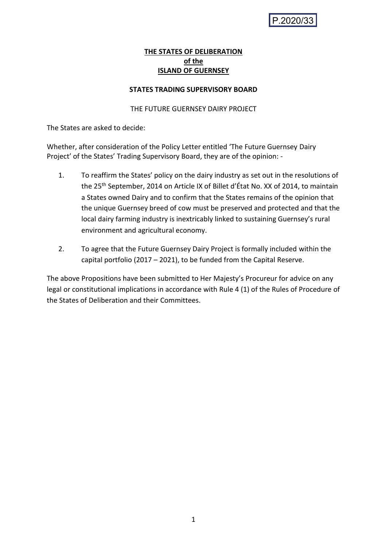# **THE STATES OF DELIBERATION of the ISLAND OF GUERNSEY**

### **STATES TRADING SUPERVISORY BOARD**

## THE FUTURE GUERNSEY DAIRY PROJECT

The States are asked to decide:

Whether, after consideration of the Policy Letter entitled 'The Future Guernsey Dairy Project' of the States' Trading Supervisory Board, they are of the opinion: -

- 1. To reaffirm the States' policy on the dairy industry as set out in the resolutions of the 25<sup>th</sup> September, 2014 on Article IX of Billet d'État No. XX of 2014, to maintain a States owned Dairy and to confirm that the States remains of the opinion that the unique Guernsey breed of cow must be preserved and protected and that the local dairy farming industry is inextricably linked to sustaining Guernsey's rural environment and agricultural economy.
- 2. To agree that the Future Guernsey Dairy Project is formally included within the capital portfolio (2017 – 2021), to be funded from the Capital Reserve.

The above Propositions have been submitted to Her Majesty's Procureur for advice on any legal or constitutional implications in accordance with Rule 4 (1) of the Rules of Procedure of the States of Deliberation and their Committees.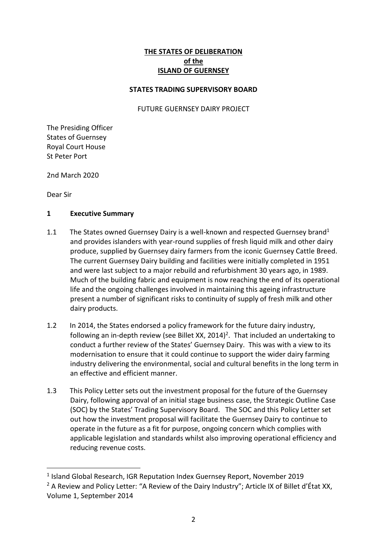# **THE STATES OF DELIBERATION of the ISLAND OF GUERNSEY**

### **STATES TRADING SUPERVISORY BOARD**

#### FUTURE GUERNSEY DAIRY PROJECT

The Presiding Officer States of Guernsey Royal Court House St Peter Port

2nd March 2020

Dear Sir

1

#### **1 Executive Summary**

- 1.1 The States owned Guernsey Dairy is a well-known and respected Guernsey brand<sup>1</sup> and provides islanders with year-round supplies of fresh liquid milk and other dairy produce, supplied by Guernsey dairy farmers from the iconic Guernsey Cattle Breed. The current Guernsey Dairy building and facilities were initially completed in 1951 and were last subject to a major rebuild and refurbishment 30 years ago, in 1989. Much of the building fabric and equipment is now reaching the end of its operational life and the ongoing challenges involved in maintaining this ageing infrastructure present a number of significant risks to continuity of supply of fresh milk and other dairy products.
- 1.2 In 2014, the States endorsed a policy framework for the future dairy industry, following an in-depth review (see Billet XX, 2014)<sup>2</sup>. That included an undertaking to conduct a further review of the States' Guernsey Dairy. This was with a view to its modernisation to ensure that it could continue to support the wider dairy farming industry delivering the environmental, social and cultural benefits in the long term in an effective and efficient manner.
- 1.3 This Policy Letter sets out the investment proposal for the future of the Guernsey Dairy, following approval of an initial stage business case, the Strategic Outline Case (SOC) by the States' Trading Supervisory Board. The SOC and this Policy Letter set out how the investment proposal will facilitate the Guernsey Dairy to continue to operate in the future as a fit for purpose, ongoing concern which complies with applicable legislation and standards whilst also improving operational efficiency and reducing revenue costs.

<sup>&</sup>lt;sup>1</sup> Island Global Research, IGR Reputation Index Guernsey Report, November 2019

<sup>&</sup>lt;sup>2</sup> A Review and Policy Letter: "A Review of the Dairy Industry"; Article IX of Billet d'État XX, Volume 1, September 2014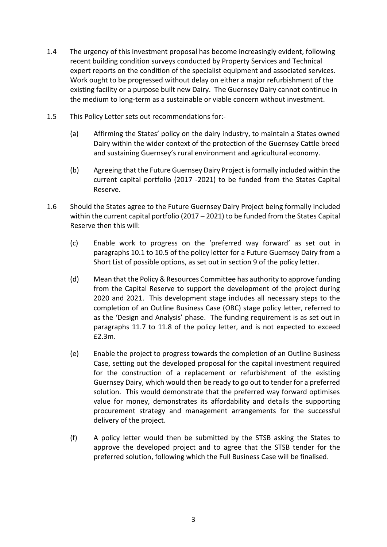- 1.4 The urgency of this investment proposal has become increasingly evident, following recent building condition surveys conducted by Property Services and Technical expert reports on the condition of the specialist equipment and associated services. Work ought to be progressed without delay on either a major refurbishment of the existing facility or a purpose built new Dairy. The Guernsey Dairy cannot continue in the medium to long-term as a sustainable or viable concern without investment.
- 1.5 This Policy Letter sets out recommendations for:-
	- (a) Affirming the States' policy on the dairy industry, to maintain a States owned Dairy within the wider context of the protection of the Guernsey Cattle breed and sustaining Guernsey's rural environment and agricultural economy.
	- (b) Agreeing that the Future Guernsey Dairy Project is formally included within the current capital portfolio (2017 -2021) to be funded from the States Capital Reserve.
- 1.6 Should the States agree to the Future Guernsey Dairy Project being formally included within the current capital portfolio (2017 – 2021) to be funded from the States Capital Reserve then this will:
	- (c) Enable work to progress on the 'preferred way forward' as set out in paragraphs 10.1 to 10.5 of the policy letter for a Future Guernsey Dairy from a Short List of possible options, as set out in section 9 of the policy letter.
	- (d) Mean that the Policy & Resources Committee has authority to approve funding from the Capital Reserve to support the development of the project during 2020 and 2021. This development stage includes all necessary steps to the completion of an Outline Business Case (OBC) stage policy letter, referred to as the 'Design and Analysis' phase. The funding requirement is as set out in paragraphs 11.7 to 11.8 of the policy letter, and is not expected to exceed £2.3m.
	- (e) Enable the project to progress towards the completion of an Outline Business Case, setting out the developed proposal for the capital investment required for the construction of a replacement or refurbishment of the existing Guernsey Dairy, which would then be ready to go out to tender for a preferred solution. This would demonstrate that the preferred way forward optimises value for money, demonstrates its affordability and details the supporting procurement strategy and management arrangements for the successful delivery of the project.
	- (f) A policy letter would then be submitted by the STSB asking the States to approve the developed project and to agree that the STSB tender for the preferred solution, following which the Full Business Case will be finalised.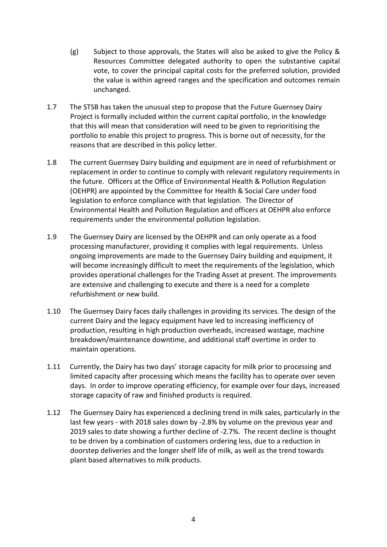- (g) Subject to those approvals, the States will also be asked to give the Policy & Resources Committee delegated authority to open the substantive capital vote, to cover the principal capital costs for the preferred solution, provided the value is within agreed ranges and the specification and outcomes remain unchanged.
- 1.7 The STSB has taken the unusual step to propose that the Future Guernsey Dairy Project is formally included within the current capital portfolio, in the knowledge that this will mean that consideration will need to be given to reprioritising the portfolio to enable this project to progress. This is borne out of necessity, for the reasons that are described in this policy letter.
- 1.8 The current Guernsey Dairy building and equipment are in need of refurbishment or replacement in order to continue to comply with relevant regulatory requirements in the future. Officers at the Office of Environmental Health & Pollution Regulation (OEHPR) are appointed by the Committee for Health & Social Care under food legislation to enforce compliance with that legislation. The Director of Environmental Health and Pollution Regulation and officers at OEHPR also enforce requirements under the environmental pollution legislation.
- 1.9 The Guernsey Dairy are licensed by the OEHPR and can only operate as a food processing manufacturer, providing it complies with legal requirements. Unless ongoing improvements are made to the Guernsey Dairy building and equipment, it will become increasingly difficult to meet the requirements of the legislation, which provides operational challenges for the Trading Asset at present. The improvements are extensive and challenging to execute and there is a need for a complete refurbishment or new build.
- 1.10 The Guernsey Dairy faces daily challenges in providing its services. The design of the current Dairy and the legacy equipment have led to increasing inefficiency of production, resulting in high production overheads, increased wastage, machine breakdown/maintenance downtime, and additional staff overtime in order to maintain operations.
- 1.11 Currently, the Dairy has two days' storage capacity for milk prior to processing and limited capacity after processing which means the facility has to operate over seven days. In order to improve operating efficiency, for example over four days, increased storage capacity of raw and finished products is required.
- 1.12 The Guernsey Dairy has experienced a declining trend in milk sales, particularly in the last few years - with 2018 sales down by -2.8% by volume on the previous year and 2019 sales to date showing a further decline of -2.7%. The recent decline is thought to be driven by a combination of customers ordering less, due to a reduction in doorstep deliveries and the longer shelf life of milk, as well as the trend towards plant based alternatives to milk products.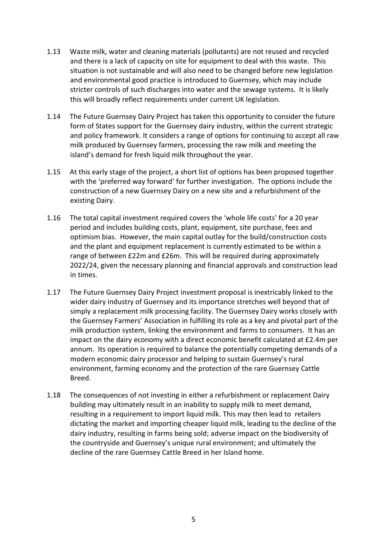- 1.13 Waste milk, water and cleaning materials (pollutants) are not reused and recycled and there is a lack of capacity on site for equipment to deal with this waste. This situation is not sustainable and will also need to be changed before new legislation and environmental good practice is introduced to Guernsey, which may include stricter controls of such discharges into water and the sewage systems. It is likely this will broadly reflect requirements under current UK legislation.
- 1.14 The Future Guernsey Dairy Project has taken this opportunity to consider the future form of States support for the Guernsey dairy industry, within the current strategic and policy framework. It considers a range of options for continuing to accept all raw milk produced by Guernsey farmers, processing the raw milk and meeting the island's demand for fresh liquid milk throughout the year.
- 1.15 At this early stage of the project, a short list of options has been proposed together with the 'preferred way forward' for further investigation. The options include the construction of a new Guernsey Dairy on a new site and a refurbishment of the existing Dairy.
- 1.16 The total capital investment required covers the 'whole life costs' for a 20 year period and includes building costs, plant, equipment, site purchase, fees and optimism bias. However, the main capital outlay for the build/construction costs and the plant and equipment replacement is currently estimated to be within a range of between £22m and £26m. This will be required during approximately 2022/24, given the necessary planning and financial approvals and construction lead in times.
- 1.17 The Future Guernsey Dairy Project investment proposal is inextricably linked to the wider dairy industry of Guernsey and its importance stretches well beyond that of simply a replacement milk processing facility. The Guernsey Dairy works closely with the Guernsey Farmers' Association in fulfilling its role as a key and pivotal part of the milk production system, linking the environment and farms to consumers. It has an impact on the dairy economy with a direct economic benefit calculated at £2.4m per annum. Its operation is required to balance the potentially competing demands of a modern economic dairy processor and helping to sustain Guernsey's rural environment, farming economy and the protection of the rare Guernsey Cattle Breed.
- 1.18 The consequences of not investing in either a refurbishment or replacement Dairy building may ultimately result in an inability to supply milk to meet demand, resulting in a requirement to import liquid milk. This may then lead to retailers dictating the market and importing cheaper liquid milk, leading to the decline of the dairy industry, resulting in farms being sold; adverse impact on the biodiversity of the countryside and Guernsey's unique rural environment; and ultimately the decline of the rare Guernsey Cattle Breed in her Island home.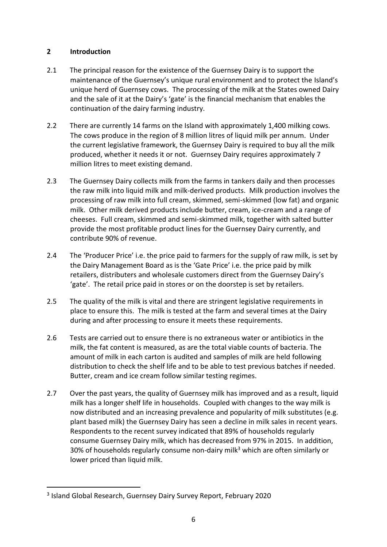# **2 Introduction**

- 2.1 The principal reason for the existence of the Guernsey Dairy is to support the maintenance of the Guernsey's unique rural environment and to protect the Island's unique herd of Guernsey cows. The processing of the milk at the States owned Dairy and the sale of it at the Dairy's 'gate' is the financial mechanism that enables the continuation of the dairy farming industry.
- 2.2 There are currently 14 farms on the Island with approximately 1,400 milking cows. The cows produce in the region of 8 million litres of liquid milk per annum. Under the current legislative framework, the Guernsey Dairy is required to buy all the milk produced, whether it needs it or not. Guernsey Dairy requires approximately 7 million litres to meet existing demand.
- 2.3 The Guernsey Dairy collects milk from the farms in tankers daily and then processes the raw milk into liquid milk and milk-derived products. Milk production involves the processing of raw milk into full cream, skimmed, semi-skimmed (low fat) and organic milk. Other milk derived products include butter, cream, ice-cream and a range of cheeses. Full cream, skimmed and semi-skimmed milk, together with salted butter provide the most profitable product lines for the Guernsey Dairy currently, and contribute 90% of revenue.
- 2.4 The 'Producer Price' i.e. the price paid to farmers for the supply of raw milk, is set by the Dairy Management Board as is the 'Gate Price' i.e. the price paid by milk retailers, distributers and wholesale customers direct from the Guernsey Dairy's 'gate'. The retail price paid in stores or on the doorstep is set by retailers.
- 2.5 The quality of the milk is vital and there are stringent legislative requirements in place to ensure this. The milk is tested at the farm and several times at the Dairy during and after processing to ensure it meets these requirements.
- 2.6 Tests are carried out to ensure there is no extraneous water or antibiotics in the milk, the fat content is measured, as are the total viable counts of bacteria. The amount of milk in each carton is audited and samples of milk are held following distribution to check the shelf life and to be able to test previous batches if needed. Butter, cream and ice cream follow similar testing regimes.
- 2.7 Over the past years, the quality of Guernsey milk has improved and as a result, liquid milk has a longer shelf life in households. Coupled with changes to the way milk is now distributed and an increasing prevalence and popularity of milk substitutes (e.g. plant based milk) the Guernsey Dairy has seen a decline in milk sales in recent years. Respondents to the recent survey indicated that 89% of households regularly consume Guernsey Dairy milk, which has decreased from 97% in 2015. In addition, 30% of households regularly consume non-dairy milk<sup>3</sup> which are often similarly or lower priced than liquid milk.

<sup>3</sup> Island Global Research, Guernsey Dairy Survey Report, February 2020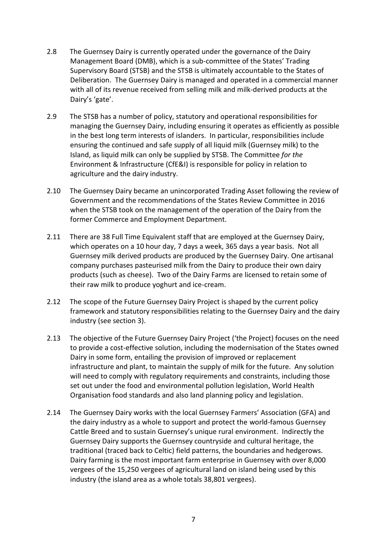- 2.8 The Guernsey Dairy is currently operated under the governance of the Dairy Management Board (DMB), which is a sub-committee of the States' Trading Supervisory Board (STSB) and the STSB is ultimately accountable to the States of Deliberation. The Guernsey Dairy is managed and operated in a commercial manner with all of its revenue received from selling milk and milk-derived products at the Dairy's 'gate'.
- 2.9 The STSB has a number of policy, statutory and operational responsibilities for managing the Guernsey Dairy, including ensuring it operates as efficiently as possible in the best long term interests of islanders. In particular, responsibilities include ensuring the continued and safe supply of all liquid milk (Guernsey milk) to the Island, as liquid milk can only be supplied by STSB. The Committee *for the* Environment & Infrastructure (CfE&I) is responsible for policy in relation to agriculture and the dairy industry.
- 2.10 The Guernsey Dairy became an unincorporated Trading Asset following the review of Government and the recommendations of the States Review Committee in 2016 when the STSB took on the management of the operation of the Dairy from the former Commerce and Employment Department.
- 2.11 There are 38 Full Time Equivalent staff that are employed at the Guernsey Dairy, which operates on a 10 hour day, 7 days a week, 365 days a year basis. Not all Guernsey milk derived products are produced by the Guernsey Dairy. One artisanal company purchases pasteurised milk from the Dairy to produce their own dairy products (such as cheese). Two of the Dairy Farms are licensed to retain some of their raw milk to produce yoghurt and ice-cream.
- 2.12 The scope of the Future Guernsey Dairy Project is shaped by the current policy framework and statutory responsibilities relating to the Guernsey Dairy and the dairy industry (see section 3).
- 2.13 The objective of the Future Guernsey Dairy Project ('the Project) focuses on the need to provide a cost-effective solution, including the modernisation of the States owned Dairy in some form, entailing the provision of improved or replacement infrastructure and plant, to maintain the supply of milk for the future. Any solution will need to comply with regulatory requirements and constraints, including those set out under the food and environmental pollution legislation, World Health Organisation food standards and also land planning policy and legislation.
- 2.14 The Guernsey Dairy works with the local Guernsey Farmers' Association (GFA) and the dairy industry as a whole to support and protect the world-famous Guernsey Cattle Breed and to sustain Guernsey's unique rural environment. Indirectly the Guernsey Dairy supports the Guernsey countryside and cultural heritage, the traditional (traced back to Celtic) field patterns, the boundaries and hedgerows. Dairy farming is the most important farm enterprise in Guernsey with over 8,000 vergees of the 15,250 vergees of agricultural land on island being used by this industry (the island area as a whole totals 38,801 vergees).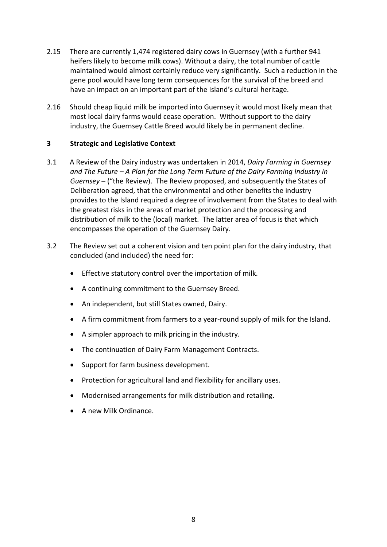- 2.15 There are currently 1,474 registered dairy cows in Guernsey (with a further 941 heifers likely to become milk cows). Without a dairy, the total number of cattle maintained would almost certainly reduce very significantly. Such a reduction in the gene pool would have long term consequences for the survival of the breed and have an impact on an important part of the Island's cultural heritage.
- 2.16 Should cheap liquid milk be imported into Guernsey it would most likely mean that most local dairy farms would cease operation. Without support to the dairy industry, the Guernsey Cattle Breed would likely be in permanent decline.

### **3 Strategic and Legislative Context**

- 3.1 A Review of the Dairy industry was undertaken in 2014, *Dairy Farming in Guernsey and The Future – A Plan for the Long Term Future of the Dairy Farming Industry in Guernsey* – ("the Review). The Review proposed, and subsequently the States of Deliberation agreed, that the environmental and other benefits the industry provides to the Island required a degree of involvement from the States to deal with the greatest risks in the areas of market protection and the processing and distribution of milk to the (local) market. The latter area of focus is that which encompasses the operation of the Guernsey Dairy.
- 3.2 The Review set out a coherent vision and ten point plan for the dairy industry, that concluded (and included) the need for:
	- Effective statutory control over the importation of milk.
	- A continuing commitment to the Guernsey Breed.
	- An independent, but still States owned, Dairy.
	- A firm commitment from farmers to a year-round supply of milk for the Island.
	- A simpler approach to milk pricing in the industry.
	- The continuation of Dairy Farm Management Contracts.
	- Support for farm business development.
	- Protection for agricultural land and flexibility for ancillary uses.
	- Modernised arrangements for milk distribution and retailing.
	- A new Milk Ordinance.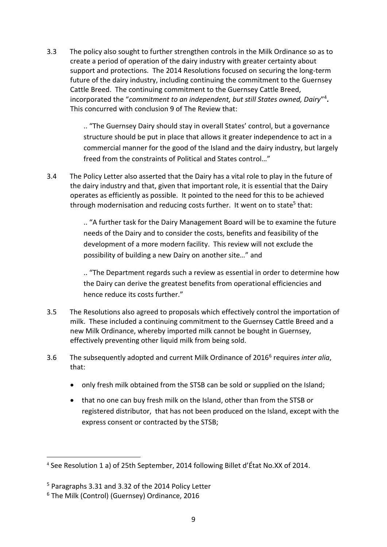3.3 The policy also sought to further strengthen controls in the Milk Ordinance so as to create a period of operation of the dairy industry with greater certainty about support and protections. The 2014 Resolutions focused on securing the long-term future of the dairy industry, including continuing the commitment to the Guernsey Cattle Breed. The continuing commitment to the Guernsey Cattle Breed, incorporated the "*commitment to an independent, but still States owned, Dairy*" 4 **.**  This concurred with conclusion 9 of The Review that:

> .. "The Guernsey Dairy should stay in overall States' control, but a governance structure should be put in place that allows it greater independence to act in a commercial manner for the good of the Island and the dairy industry, but largely freed from the constraints of Political and States control…"

3.4 The Policy Letter also asserted that the Dairy has a vital role to play in the future of the dairy industry and that, given that important role, it is essential that the Dairy operates as efficiently as possible. It pointed to the need for this to be achieved through modernisation and reducing costs further. It went on to state<sup>5</sup> that:

> .. "A further task for the Dairy Management Board will be to examine the future needs of the Dairy and to consider the costs, benefits and feasibility of the development of a more modern facility. This review will not exclude the possibility of building a new Dairy on another site…" and

.. "The Department regards such a review as essential in order to determine how the Dairy can derive the greatest benefits from operational efficiencies and hence reduce its costs further."

- 3.5 The Resolutions also agreed to proposals which effectively control the importation of milk. These included a continuing commitment to the Guernsey Cattle Breed and a new Milk Ordinance, whereby imported milk cannot be bought in Guernsey, effectively preventing other liquid milk from being sold.
- 3.6 The subsequently adopted and current Milk Ordinance of 2016<sup>6</sup> requires *inter alia*, that:
	- only fresh milk obtained from the STSB can be sold or supplied on the Island;
	- that no one can buy fresh milk on the Island, other than from the STSB or registered distributor, that has not been produced on the Island, except with the express consent or contracted by the STSB;

**.** 

<sup>4</sup> See Resolution 1 a) of 25th September, 2014 following Billet d'État No.XX of 2014.

<sup>5</sup> Paragraphs 3.31 and 3.32 of the 2014 Policy Letter

<sup>6</sup> The Milk (Control) (Guernsey) Ordinance, 2016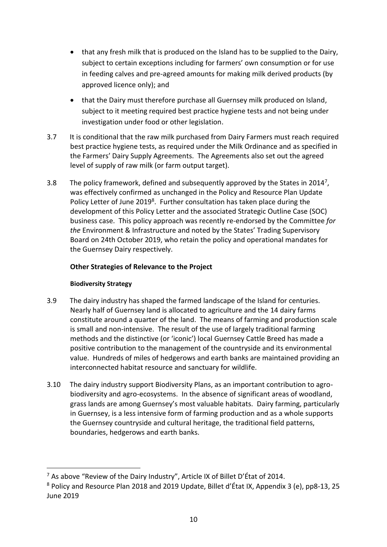- that any fresh milk that is produced on the Island has to be supplied to the Dairy, subject to certain exceptions including for farmers' own consumption or for use in feeding calves and pre-agreed amounts for making milk derived products (by approved licence only); and
- that the Dairy must therefore purchase all Guernsey milk produced on Island, subject to it meeting required best practice hygiene tests and not being under investigation under food or other legislation.
- 3.7 It is conditional that the raw milk purchased from Dairy Farmers must reach required best practice hygiene tests, as required under the Milk Ordinance and as specified in the Farmers' Dairy Supply Agreements. The Agreements also set out the agreed level of supply of raw milk (or farm output target).
- 3.8 The policy framework, defined and subsequently approved by the States in 2014<sup>7</sup>, was effectively confirmed as unchanged in the Policy and Resource Plan Update Policy Letter of June 2019<sup>8</sup>. Further consultation has taken place during the development of this Policy Letter and the associated Strategic Outline Case (SOC) business case. This policy approach was recently re-endorsed by the Committee *for the* Environment & Infrastructure and noted by the States' Trading Supervisory Board on 24th October 2019, who retain the policy and operational mandates for the Guernsey Dairy respectively.

# **Other Strategies of Relevance to the Project**

# **Biodiversity Strategy**

- 3.9 The dairy industry has shaped the farmed landscape of the Island for centuries. Nearly half of Guernsey land is allocated to agriculture and the 14 dairy farms constitute around a quarter of the land. The means of farming and production scale is small and non-intensive. The result of the use of largely traditional farming methods and the distinctive (or 'iconic') local Guernsey Cattle Breed has made a positive contribution to the management of the countryside and its environmental value. Hundreds of miles of hedgerows and earth banks are maintained providing an interconnected habitat resource and sanctuary for wildlife.
- 3.10 The dairy industry support Biodiversity Plans, as an important contribution to agrobiodiversity and agro-ecosystems. In the absence of significant areas of woodland, grass lands are among Guernsey's most valuable habitats. Dairy farming, particularly in Guernsey, is a less intensive form of farming production and as a whole supports the Guernsey countryside and cultural heritage, the traditional field patterns, boundaries, hedgerows and earth banks.

<sup>7</sup> As above "Review of the Dairy Industry", Article IX of Billet D'État of 2014.

<sup>8</sup> Policy and Resource Plan 2018 and 2019 Update, Billet d'État IX, Appendix 3 (e), pp8-13, 25 June 2019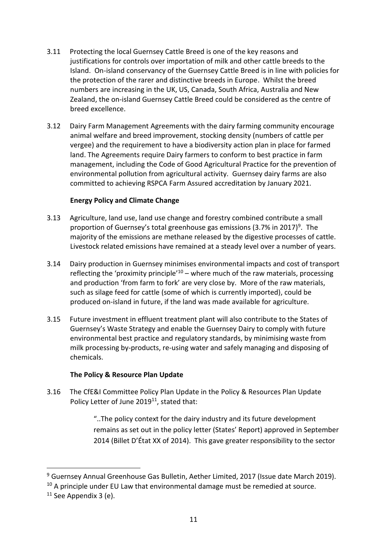- 3.11 Protecting the local Guernsey Cattle Breed is one of the key reasons and justifications for controls over importation of milk and other cattle breeds to the Island. On-island conservancy of the Guernsey Cattle Breed is in line with policies for the protection of the rarer and distinctive breeds in Europe. Whilst the breed numbers are increasing in the UK, US, Canada, South Africa, Australia and New Zealand, the on-island Guernsey Cattle Breed could be considered as the centre of breed excellence.
- 3.12 Dairy Farm Management Agreements with the dairy farming community encourage animal welfare and breed improvement, stocking density (numbers of cattle per vergee) and the requirement to have a biodiversity action plan in place for farmed land. The Agreements require Dairy farmers to conform to best practice in farm management, including the Code of Good Agricultural Practice for the prevention of environmental pollution from agricultural activity. Guernsey dairy farms are also committed to achieving RSPCA Farm Assured accreditation by January 2021.

### **Energy Policy and Climate Change**

- 3.13 Agriculture, land use, land use change and forestry combined contribute a small proportion of Guernsey's total greenhouse gas emissions (3.7% in 2017)<sup>9</sup>. The majority of the emissions are methane released by the digestive processes of cattle. Livestock related emissions have remained at a steady level over a number of years.
- 3.14 Dairy production in Guernsey minimises environmental impacts and cost of transport reflecting the 'proximity principle<sup>'10</sup> – where much of the raw materials, processing and production 'from farm to fork' are very close by. More of the raw materials, such as silage feed for cattle (some of which is currently imported), could be produced on-island in future, if the land was made available for agriculture.
- 3.15 Future investment in effluent treatment plant will also contribute to the States of Guernsey's Waste Strategy and enable the Guernsey Dairy to comply with future environmental best practice and regulatory standards, by minimising waste from milk processing by-products, re-using water and safely managing and disposing of chemicals.

### **The Policy & Resource Plan Update**

3.16 The CfE&I Committee Policy Plan Update in the Policy & Resources Plan Update Policy Letter of June 2019<sup>11</sup>, stated that:

> "..The policy context for the dairy industry and its future development remains as set out in the policy letter (States' Report) approved in September 2014 (Billet D'État XX of 2014). This gave greater responsibility to the sector

<sup>&</sup>lt;sup>9</sup> Guernsey Annual Greenhouse Gas Bulletin, Aether Limited, 2017 (Issue date March 2019).

 $10$  A principle under EU Law that environmental damage must be remedied at source.

 $11$  See Appendix 3 (e).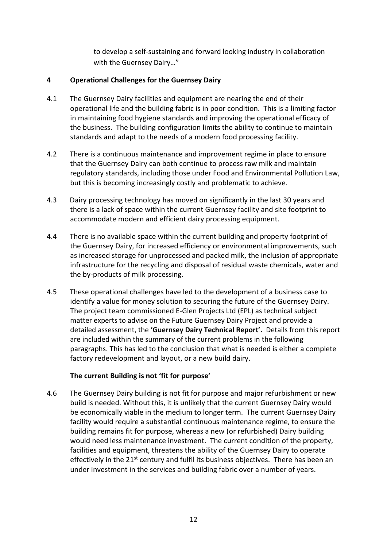to develop a self-sustaining and forward looking industry in collaboration with the Guernsey Dairy…"

# **4 Operational Challenges for the Guernsey Dairy**

- 4.1 The Guernsey Dairy facilities and equipment are nearing the end of their operational life and the building fabric is in poor condition. This is a limiting factor in maintaining food hygiene standards and improving the operational efficacy of the business. The building configuration limits the ability to continue to maintain standards and adapt to the needs of a modern food processing facility.
- 4.2 There is a continuous maintenance and improvement regime in place to ensure that the Guernsey Dairy can both continue to process raw milk and maintain regulatory standards, including those under Food and Environmental Pollution Law, but this is becoming increasingly costly and problematic to achieve.
- 4.3 Dairy processing technology has moved on significantly in the last 30 years and there is a lack of space within the current Guernsey facility and site footprint to accommodate modern and efficient dairy processing equipment.
- 4.4 There is no available space within the current building and property footprint of the Guernsey Dairy, for increased efficiency or environmental improvements, such as increased storage for unprocessed and packed milk, the inclusion of appropriate infrastructure for the recycling and disposal of residual waste chemicals, water and the by-products of milk processing.
- 4.5 These operational challenges have led to the development of a business case to identify a value for money solution to securing the future of the Guernsey Dairy. The project team commissioned E-Glen Projects Ltd (EPL) as technical subject matter experts to advise on the Future Guernsey Dairy Project and provide a detailed assessment, the **'Guernsey Dairy Technical Report'.** Details from this report are included within the summary of the current problems in the following paragraphs. This has led to the conclusion that what is needed is either a complete factory redevelopment and layout, or a new build dairy.

# **The current Building is not 'fit for purpose'**

4.6 The Guernsey Dairy building is not fit for purpose and major refurbishment or new build is needed. Without this, it is unlikely that the current Guernsey Dairy would be economically viable in the medium to longer term. The current Guernsey Dairy facility would require a substantial continuous maintenance regime, to ensure the building remains fit for purpose, whereas a new (or refurbished) Dairy building would need less maintenance investment. The current condition of the property, facilities and equipment, threatens the ability of the Guernsey Dairy to operate effectively in the 21<sup>st</sup> century and fulfil its business objectives. There has been an under investment in the services and building fabric over a number of years.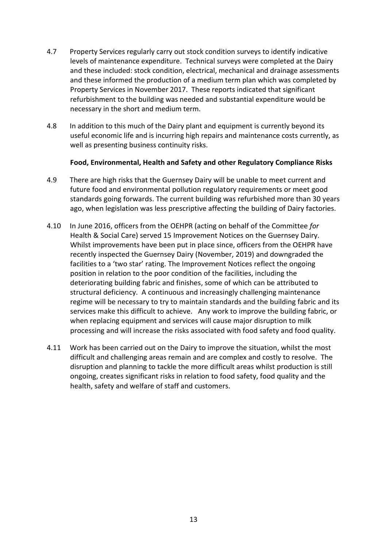- 4.7 Property Services regularly carry out stock condition surveys to identify indicative levels of maintenance expenditure. Technical surveys were completed at the Dairy and these included: stock condition, electrical, mechanical and drainage assessments and these informed the production of a medium term plan which was completed by Property Services in November 2017. These reports indicated that significant refurbishment to the building was needed and substantial expenditure would be necessary in the short and medium term.
- 4.8 In addition to this much of the Dairy plant and equipment is currently beyond its useful economic life and is incurring high repairs and maintenance costs currently, as well as presenting business continuity risks.

### **Food, Environmental, Health and Safety and other Regulatory Compliance Risks**

- 4.9 There are high risks that the Guernsey Dairy will be unable to meet current and future food and environmental pollution regulatory requirements or meet good standards going forwards. The current building was refurbished more than 30 years ago, when legislation was less prescriptive affecting the building of Dairy factories.
- 4.10 In June 2016, officers from the OEHPR (acting on behalf of the Committee *for* Health & Social Care) served 15 Improvement Notices on the Guernsey Dairy. Whilst improvements have been put in place since, officers from the OEHPR have recently inspected the Guernsey Dairy (November, 2019) and downgraded the facilities to a 'two star' rating. The Improvement Notices reflect the ongoing position in relation to the poor condition of the facilities, including the deteriorating building fabric and finishes, some of which can be attributed to structural deficiency. A continuous and increasingly challenging maintenance regime will be necessary to try to maintain standards and the building fabric and its services make this difficult to achieve. Any work to improve the building fabric, or when replacing equipment and services will cause major disruption to milk processing and will increase the risks associated with food safety and food quality.
- 4.11 Work has been carried out on the Dairy to improve the situation, whilst the most difficult and challenging areas remain and are complex and costly to resolve. The disruption and planning to tackle the more difficult areas whilst production is still ongoing, creates significant risks in relation to food safety, food quality and the health, safety and welfare of staff and customers.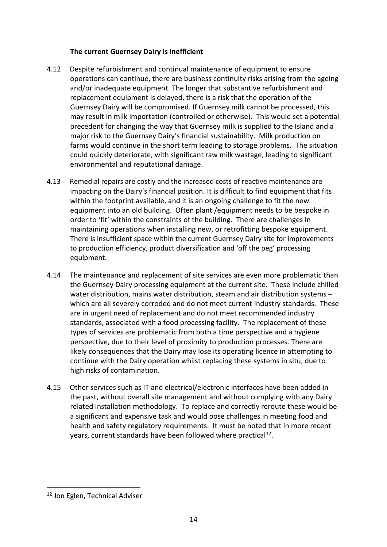### **The current Guernsey Dairy is inefficient**

- 4.12 Despite refurbishment and continual maintenance of equipment to ensure operations can continue, there are business continuity risks arising from the ageing and/or inadequate equipment. The longer that substantive refurbishment and replacement equipment is delayed, there is a risk that the operation of the Guernsey Dairy will be compromised. If Guernsey milk cannot be processed, this may result in milk importation (controlled or otherwise). This would set a potential precedent for changing the way that Guernsey milk is supplied to the Island and a major risk to the Guernsey Dairy's financial sustainability. Milk production on farms would continue in the short term leading to storage problems. The situation could quickly deteriorate, with significant raw milk wastage, leading to significant environmental and reputational damage.
- 4.13 Remedial repairs are costly and the increased costs of reactive maintenance are impacting on the Dairy's financial position. It is difficult to find equipment that fits within the footprint available, and it is an ongoing challenge to fit the new equipment into an old building. Often plant /equipment needs to be bespoke in order to 'fit' within the constraints of the building. There are challenges in maintaining operations when installing new, or retrofitting bespoke equipment. There is insufficient space within the current Guernsey Dairy site for improvements to production efficiency, product diversification and 'off the peg' processing equipment.
- 4.14 The maintenance and replacement of site services are even more problematic than the Guernsey Dairy processing equipment at the current site. These include chilled water distribution, mains water distribution, steam and air distribution systems – which are all severely corroded and do not meet current industry standards. These are in urgent need of replacement and do not meet recommended industry standards, associated with a food processing facility. The replacement of these types of services are problematic from both a time perspective and a hygiene perspective, due to their level of proximity to production processes. There are likely consequences that the Dairy may lose its operating licence in attempting to continue with the Dairy operation whilst replacing these systems in situ, due to high risks of contamination.
- 4.15 Other services such as IT and electrical/electronic interfaces have been added in the past, without overall site management and without complying with any Dairy related installation methodology. To replace and correctly reroute these would be a significant and expensive task and would pose challenges in meeting food and health and safety regulatory requirements. It must be noted that in more recent years, current standards have been followed where practical<sup>12</sup>.

<sup>&</sup>lt;sup>12</sup> Jon Eglen, Technical Adviser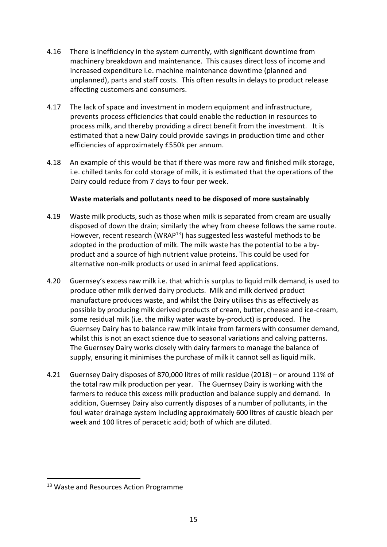- 4.16 There is inefficiency in the system currently, with significant downtime from machinery breakdown and maintenance. This causes direct loss of income and increased expenditure i.e. machine maintenance downtime (planned and unplanned), parts and staff costs. This often results in delays to product release affecting customers and consumers.
- 4.17 The lack of space and investment in modern equipment and infrastructure, prevents process efficiencies that could enable the reduction in resources to process milk, and thereby providing a direct benefit from the investment. It is estimated that a new Dairy could provide savings in production time and other efficiencies of approximately £550k per annum.
- 4.18 An example of this would be that if there was more raw and finished milk storage, i.e. chilled tanks for cold storage of milk, it is estimated that the operations of the Dairy could reduce from 7 days to four per week.

# **Waste materials and pollutants need to be disposed of more sustainably**

- 4.19 Waste milk products, such as those when milk is separated from cream are usually disposed of down the drain; similarly the whey from cheese follows the same route. However, recent research (WRAP $13$ ) has suggested less wasteful methods to be adopted in the production of milk. The milk waste has the potential to be a byproduct and a source of high nutrient value proteins. This could be used for alternative non-milk products or used in animal feed applications.
- 4.20 Guernsey's excess raw milk i.e. that which is surplus to liquid milk demand, is used to produce other milk derived dairy products. Milk and milk derived product manufacture produces waste, and whilst the Dairy utilises this as effectively as possible by producing milk derived products of cream, butter, cheese and ice-cream, some residual milk (i.e. the milky water waste by-product) is produced. The Guernsey Dairy has to balance raw milk intake from farmers with consumer demand, whilst this is not an exact science due to seasonal variations and calving patterns. The Guernsey Dairy works closely with dairy farmers to manage the balance of supply, ensuring it minimises the purchase of milk it cannot sell as liquid milk.
- 4.21 Guernsey Dairy disposes of 870,000 litres of milk residue (2018) or around 11% of the total raw milk production per year. The Guernsey Dairy is working with the farmers to reduce this excess milk production and balance supply and demand. In addition, Guernsey Dairy also currently disposes of a number of pollutants, in the foul water drainage system including approximately 600 litres of caustic bleach per week and 100 litres of peracetic acid; both of which are diluted.

 $\overline{\phantom{a}}$ 

<sup>&</sup>lt;sup>13</sup> Waste and Resources Action Programme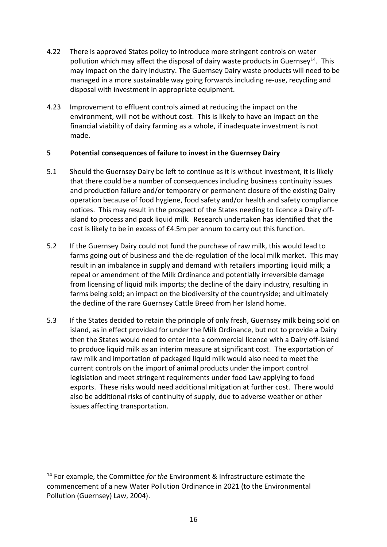- 4.22 There is approved States policy to introduce more stringent controls on water pollution which may affect the disposal of dairy waste products in Guernsey<sup>14</sup>. This may impact on the dairy industry. The Guernsey Dairy waste products will need to be managed in a more sustainable way going forwards including re-use, recycling and disposal with investment in appropriate equipment.
- 4.23 Improvement to effluent controls aimed at reducing the impact on the environment, will not be without cost. This is likely to have an impact on the financial viability of dairy farming as a whole, if inadequate investment is not made.

# **5 Potential consequences of failure to invest in the Guernsey Dairy**

- 5.1 Should the Guernsey Dairy be left to continue as it is without investment, it is likely that there could be a number of consequences including business continuity issues and production failure and/or temporary or permanent closure of the existing Dairy operation because of food hygiene, food safety and/or health and safety compliance notices. This may result in the prospect of the States needing to licence a Dairy offisland to process and pack liquid milk. Research undertaken has identified that the cost is likely to be in excess of £4.5m per annum to carry out this function.
- 5.2 If the Guernsey Dairy could not fund the purchase of raw milk, this would lead to farms going out of business and the de-regulation of the local milk market. This may result in an imbalance in supply and demand with retailers importing liquid milk; a repeal or amendment of the Milk Ordinance and potentially irreversible damage from licensing of liquid milk imports; the decline of the dairy industry, resulting in farms being sold; an impact on the biodiversity of the countryside; and ultimately the decline of the rare Guernsey Cattle Breed from her Island home.
- 5.3 If the States decided to retain the principle of only fresh, Guernsey milk being sold on island, as in effect provided for under the Milk Ordinance, but not to provide a Dairy then the States would need to enter into a commercial licence with a Dairy off-island to produce liquid milk as an interim measure at significant cost. The exportation of raw milk and importation of packaged liquid milk would also need to meet the current controls on the import of animal products under the import control legislation and meet stringent requirements under food Law applying to food exports. These risks would need additional mitigation at further cost. There would also be additional risks of continuity of supply, due to adverse weather or other issues affecting transportation.

<sup>14</sup> For example, the Committee *for the* Environment & Infrastructure estimate the commencement of a new Water Pollution Ordinance in 2021 (to the Environmental Pollution (Guernsey) Law, 2004).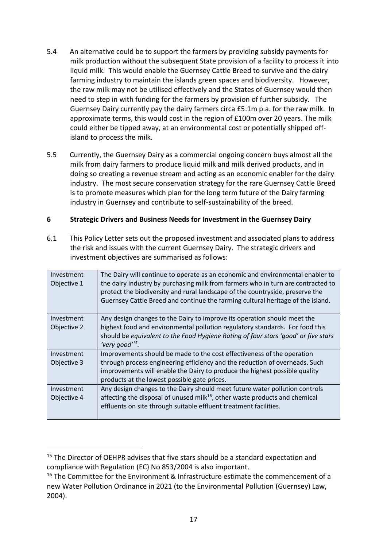- 5.4 An alternative could be to support the farmers by providing subsidy payments for milk production without the subsequent State provision of a facility to process it into liquid milk. This would enable the Guernsey Cattle Breed to survive and the dairy farming industry to maintain the islands green spaces and biodiversity. However, the raw milk may not be utilised effectively and the States of Guernsey would then need to step in with funding for the farmers by provision of further subsidy. The Guernsey Dairy currently pay the dairy farmers circa £5.1m p.a. for the raw milk. In approximate terms, this would cost in the region of £100m over 20 years. The milk could either be tipped away, at an environmental cost or potentially shipped offisland to process the milk.
- 5.5 Currently, the Guernsey Dairy as a commercial ongoing concern buys almost all the milk from dairy farmers to produce liquid milk and milk derived products, and in doing so creating a revenue stream and acting as an economic enabler for the dairy industry. The most secure conservation strategy for the rare Guernsey Cattle Breed is to promote measures which plan for the long term future of the Dairy farming industry in Guernsey and contribute to self-sustainability of the breed.

# **6 Strategic Drivers and Business Needs for Investment in the Guernsey Dairy**

6.1 This Policy Letter sets out the proposed investment and associated plans to address the risk and issues with the current Guernsey Dairy. The strategic drivers and investment objectives are summarised as follows:

| Investment<br>Objective 1 | The Dairy will continue to operate as an economic and environmental enabler to<br>the dairy industry by purchasing milk from farmers who in turn are contracted to<br>protect the biodiversity and rural landscape of the countryside, preserve the<br>Guernsey Cattle Breed and continue the farming cultural heritage of the island. |
|---------------------------|----------------------------------------------------------------------------------------------------------------------------------------------------------------------------------------------------------------------------------------------------------------------------------------------------------------------------------------|
| Investment                | Any design changes to the Dairy to improve its operation should meet the                                                                                                                                                                                                                                                               |
| Objective 2               | highest food and environmental pollution regulatory standards. For food this                                                                                                                                                                                                                                                           |
|                           | should be equivalent to the Food Hygiene Rating of four stars 'good' or five stars<br>'very good' <sup>15</sup> .                                                                                                                                                                                                                      |
| Investment                | Improvements should be made to the cost effectiveness of the operation                                                                                                                                                                                                                                                                 |
| Objective 3               | through process engineering efficiency and the reduction of overheads. Such                                                                                                                                                                                                                                                            |
|                           | improvements will enable the Dairy to produce the highest possible quality                                                                                                                                                                                                                                                             |
|                           | products at the lowest possible gate prices.                                                                                                                                                                                                                                                                                           |
| Investment                | Any design changes to the Dairy should meet future water pollution controls                                                                                                                                                                                                                                                            |
| Objective 4               | affecting the disposal of unused milk <sup>16</sup> , other waste products and chemical                                                                                                                                                                                                                                                |
|                           | effluents on site through suitable effluent treatment facilities.                                                                                                                                                                                                                                                                      |
|                           |                                                                                                                                                                                                                                                                                                                                        |

**.** 

<sup>&</sup>lt;sup>15</sup> The Director of OEHPR advises that five stars should be a standard expectation and compliance with Regulation (EC) No 853/2004 is also important.

<sup>&</sup>lt;sup>16</sup> The Committee for the Environment & Infrastructure estimate the commencement of a new Water Pollution Ordinance in 2021 (to the Environmental Pollution (Guernsey) Law, 2004).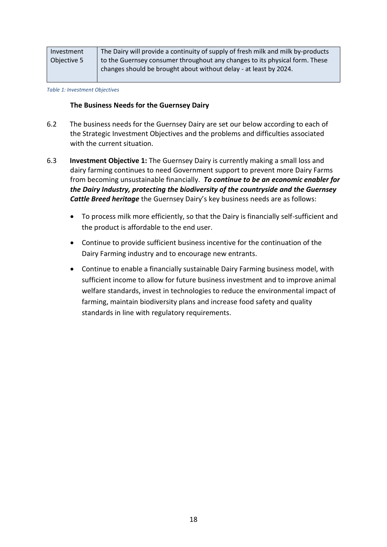| Investment  | The Dairy will provide a continuity of supply of fresh milk and milk by-products |
|-------------|----------------------------------------------------------------------------------|
| Objective 5 | to the Guernsey consumer throughout any changes to its physical form. These      |
|             | changes should be brought about without delay - at least by 2024.                |

*Table 1: Investment Objectives*

### **The Business Needs for the Guernsey Dairy**

- 6.2 The business needs for the Guernsey Dairy are set our below according to each of the Strategic Investment Objectives and the problems and difficulties associated with the current situation.
- 6.3 **Investment Objective 1:** The Guernsey Dairy is currently making a small loss and dairy farming continues to need Government support to prevent more Dairy Farms from becoming unsustainable financially. *To continue to be an economic enabler for the Dairy Industry, protecting the biodiversity of the countryside and the Guernsey Cattle Breed heritage* the Guernsey Dairy's key business needs are as follows:
	- To process milk more efficiently, so that the Dairy is financially self-sufficient and the product is affordable to the end user.
	- Continue to provide sufficient business incentive for the continuation of the Dairy Farming industry and to encourage new entrants.
	- Continue to enable a financially sustainable Dairy Farming business model, with sufficient income to allow for future business investment and to improve animal welfare standards, invest in technologies to reduce the environmental impact of farming, maintain biodiversity plans and increase food safety and quality standards in line with regulatory requirements.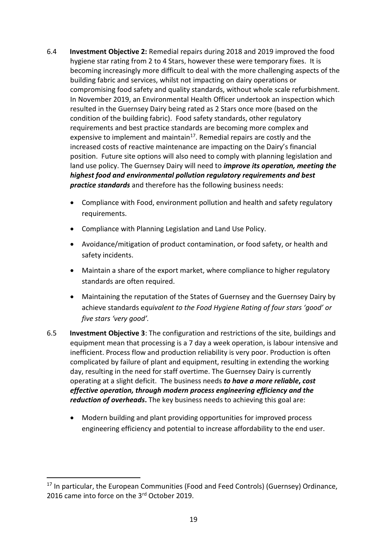- 6.4 **Investment Objective 2:** Remedial repairs during 2018 and 2019 improved the food hygiene star rating from 2 to 4 Stars, however these were temporary fixes. It is becoming increasingly more difficult to deal with the more challenging aspects of the building fabric and services, whilst not impacting on dairy operations or compromising food safety and quality standards, without whole scale refurbishment. In November 2019, an Environmental Health Officer undertook an inspection which resulted in the Guernsey Dairy being rated as 2 Stars once more (based on the condition of the building fabric). Food safety standards, other regulatory requirements and best practice standards are becoming more complex and expensive to implement and maintain<sup>17</sup>. Remedial repairs are costly and the increased costs of reactive maintenance are impacting on the Dairy's financial position. Future site options will also need to comply with planning legislation and land use policy. The Guernsey Dairy will need to *improve its operation, meeting the highest food and environmental pollution regulatory requirements and best practice standards* and therefore has the following business needs:
	- Compliance with Food, environment pollution and health and safety regulatory requirements.
	- Compliance with Planning Legislation and Land Use Policy.
	- Avoidance/mitigation of product contamination, or food safety, or health and safety incidents.
	- Maintain a share of the export market, where compliance to higher regulatory standards are often required.
	- Maintaining the reputation of the States of Guernsey and the Guernsey Dairy by achieve standards e*quivalent to the Food Hygiene Rating of four stars 'good' or five stars 'very good'.*
- 6.5 **Investment Objective 3**: The configuration and restrictions of the site, buildings and equipment mean that processing is a 7 day a week operation, is labour intensive and inefficient. Process flow and production reliability is very poor. Production is often complicated by failure of plant and equipment, resulting in extending the working day, resulting in the need for staff overtime. The Guernsey Dairy is currently operating at a slight deficit. The business needs *to have a more reliable***,** *cost effective operation, through modern process engineering efficiency and the reduction of overheads***.** The key business needs to achieving this goal are:
	- Modern building and plant providing opportunities for improved process engineering efficiency and potential to increase affordability to the end user.

<sup>&</sup>lt;sup>17</sup> In particular, the European Communities (Food and Feed Controls) (Guernsey) Ordinance, 2016 came into force on the 3<sup>rd</sup> October 2019.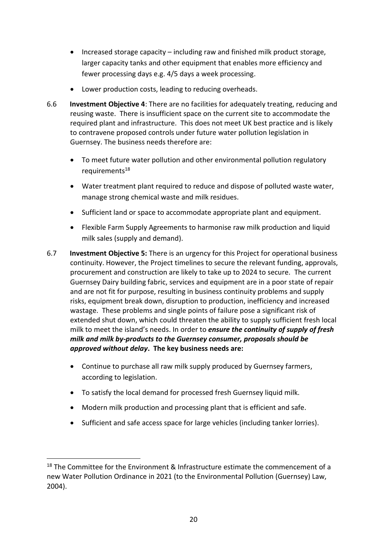- $\bullet$  Increased storage capacity including raw and finished milk product storage, larger capacity tanks and other equipment that enables more efficiency and fewer processing days e.g. 4/5 days a week processing.
- Lower production costs, leading to reducing overheads.
- 6.6 **Investment Objective 4**: There are no facilities for adequately treating, reducing and reusing waste. There is insufficient space on the current site to accommodate the required plant and infrastructure. This does not meet UK best practice and is likely to contravene proposed controls under future water pollution legislation in Guernsey. The business needs therefore are:
	- To meet future water pollution and other environmental pollution regulatory requirements<sup>18</sup>
	- Water treatment plant required to reduce and dispose of polluted waste water, manage strong chemical waste and milk residues.
	- Sufficient land or space to accommodate appropriate plant and equipment.
	- Flexible Farm Supply Agreements to harmonise raw milk production and liquid milk sales (supply and demand).
- 6.7 **Investment Objective 5:** There is an urgency for this Project for operational business continuity. However, the Project timelines to secure the relevant funding, approvals, procurement and construction are likely to take up to 2024 to secure. The current Guernsey Dairy building fabric, services and equipment are in a poor state of repair and are not fit for purpose, resulting in business continuity problems and supply risks, equipment break down, disruption to production, inefficiency and increased wastage. These problems and single points of failure pose a significant risk of extended shut down, which could threaten the ability to supply sufficient fresh local milk to meet the island's needs. In order to *ensure the continuity of supply of fresh milk and milk by-products to the Guernsey consumer, proposals should be approved without delay***. The key business needs are:**
	- Continue to purchase all raw milk supply produced by Guernsey farmers, according to legislation.
	- To satisfy the local demand for processed fresh Guernsey liquid milk.
	- Modern milk production and processing plant that is efficient and safe.
	- Sufficient and safe access space for large vehicles (including tanker lorries).

<sup>&</sup>lt;sup>18</sup> The Committee for the Environment & Infrastructure estimate the commencement of a new Water Pollution Ordinance in 2021 (to the Environmental Pollution (Guernsey) Law, 2004).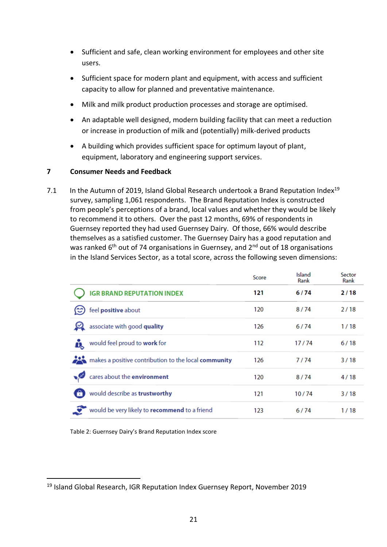- Sufficient and safe, clean working environment for employees and other site users.
- Sufficient space for modern plant and equipment, with access and sufficient capacity to allow for planned and preventative maintenance.
- Milk and milk product production processes and storage are optimised.
- An adaptable well designed, modern building facility that can meet a reduction or increase in production of milk and (potentially) milk-derived products
- A building which provides sufficient space for optimum layout of plant, equipment, laboratory and engineering support services.

# **7 Consumer Needs and Feedback**

7.1 In the Autumn of 2019, Island Global Research undertook a Brand Reputation Index<sup>19</sup> survey, sampling 1,061 respondents. The Brand Reputation Index is constructed from people's perceptions of a brand, local values and whether they would be likely to recommend it to others. Over the past 12 months, 69% of respondents in Guernsey reported they had used Guernsey Dairy. Of those, 66% would describe themselves as a satisfied customer. The Guernsey Dairy has a good reputation and was ranked  $6<sup>th</sup>$  out of 74 organisations in Guernsey, and  $2<sup>nd</sup>$  out of 18 organisations in the Island Services Sector, as a total score, across the following seven dimensions:

|                                                      | Score | Island<br>Rank | Sector<br>Rank |
|------------------------------------------------------|-------|----------------|----------------|
| <b>IGR BRAND REPUTATION INDEX</b>                    | 121   | 6/74           | 2/18           |
| feel positive about                                  | 120   | 8/74           | 2/18           |
| associate with good quality                          | 126   | 6/74           | 1/18           |
| would feel proud to work for                         | 112   | 17/74          | 6/18           |
| makes a positive contribution to the local community | 126   | 7/74           | 3/18           |
| cares about the environment                          | 120   | 8/74           | 4/18           |
| would describe as trustworthy                        | 121   | 10/74          | 3/18           |
| would be very likely to recommend to a friend        | 123   | 6/74           | 1/18           |

Table 2: Guernsey Dairy's Brand Reputation Index score

 $\overline{\phantom{a}}$ 

<sup>19</sup> Island Global Research, IGR Reputation Index Guernsey Report, November 2019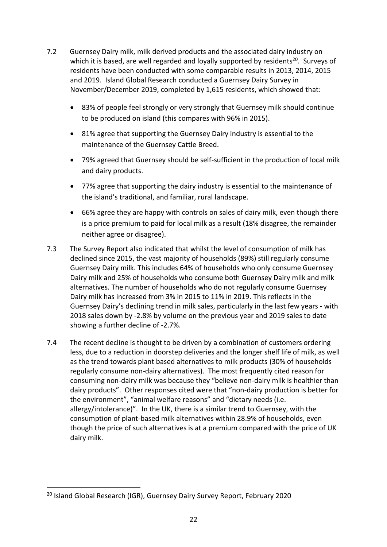- 7.2 Guernsey Dairy milk, milk derived products and the associated dairy industry on which it is based, are well regarded and loyally supported by residents<sup>20</sup>. Surveys of residents have been conducted with some comparable results in 2013, 2014, 2015 and 2019. Island Global Research conducted a Guernsey Dairy Survey in November/December 2019, completed by 1,615 residents, which showed that:
	- 83% of people feel strongly or very strongly that Guernsey milk should continue to be produced on island (this compares with 96% in 2015).
	- 81% agree that supporting the Guernsey Dairy industry is essential to the maintenance of the Guernsey Cattle Breed.
	- 79% agreed that Guernsey should be self-sufficient in the production of local milk and dairy products.
	- 77% agree that supporting the dairy industry is essential to the maintenance of the island's traditional, and familiar, rural landscape.
	- 66% agree they are happy with controls on sales of dairy milk, even though there is a price premium to paid for local milk as a result (18% disagree, the remainder neither agree or disagree).
- 7.3 The Survey Report also indicated that whilst the level of consumption of milk has declined since 2015, the vast majority of households (89%) still regularly consume Guernsey Dairy milk. This includes 64% of households who only consume Guernsey Dairy milk and 25% of households who consume both Guernsey Dairy milk and milk alternatives. The number of households who do not regularly consume Guernsey Dairy milk has increased from 3% in 2015 to 11% in 2019. This reflects in the Guernsey Dairy's declining trend in milk sales, particularly in the last few years - with 2018 sales down by -2.8% by volume on the previous year and 2019 sales to date showing a further decline of -2.7%.
- 7.4 The recent decline is thought to be driven by a combination of customers ordering less, due to a reduction in doorstep deliveries and the longer shelf life of milk, as well as the trend towards plant based alternatives to milk products (30% of households regularly consume non-dairy alternatives). The most frequently cited reason for consuming non-dairy milk was because they "believe non-dairy milk is healthier than dairy products". Other responses cited were that "non-dairy production is better for the environment", "animal welfare reasons" and "dietary needs (i.e. allergy/intolerance)". In the UK, there is a similar trend to Guernsey, with the consumption of plant-based milk alternatives within 28.9% of households, even though the price of such alternatives is at a premium compared with the price of UK dairy milk.

<sup>&</sup>lt;sup>20</sup> Island Global Research (IGR), Guernsey Dairy Survey Report, February 2020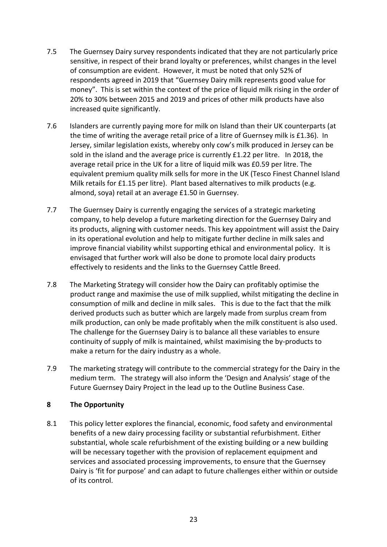- 7.5 The Guernsey Dairy survey respondents indicated that they are not particularly price sensitive, in respect of their brand loyalty or preferences, whilst changes in the level of consumption are evident. However, it must be noted that only 52% of respondents agreed in 2019 that "Guernsey Dairy milk represents good value for money". This is set within the context of the price of liquid milk rising in the order of 20% to 30% between 2015 and 2019 and prices of other milk products have also increased quite significantly.
- 7.6 Islanders are currently paying more for milk on Island than their UK counterparts (at the time of writing the average retail price of a litre of Guernsey milk is £1.36). In Jersey, similar legislation exists, whereby only cow's milk produced in Jersey can be sold in the island and the average price is currently  $£1.22$  per litre. In 2018, the average retail price in the UK for a litre of liquid milk was £0.59 per litre. The equivalent premium quality milk sells for more in the UK (Tesco Finest Channel Island Milk retails for £1.15 per litre). Plant based alternatives to milk products (e.g. almond, soya) retail at an average £1.50 in Guernsey.
- 7.7 The Guernsey Dairy is currently engaging the services of a strategic marketing company, to help develop a future marketing direction for the Guernsey Dairy and its products, aligning with customer needs. This key appointment will assist the Dairy in its operational evolution and help to mitigate further decline in milk sales and improve financial viability whilst supporting ethical and environmental policy. It is envisaged that further work will also be done to promote local dairy products effectively to residents and the links to the Guernsey Cattle Breed.
- 7.8 The Marketing Strategy will consider how the Dairy can profitably optimise the product range and maximise the use of milk supplied, whilst mitigating the decline in consumption of milk and decline in milk sales. This is due to the fact that the milk derived products such as butter which are largely made from surplus cream from milk production, can only be made profitably when the milk constituent is also used. The challenge for the Guernsey Dairy is to balance all these variables to ensure continuity of supply of milk is maintained, whilst maximising the by-products to make a return for the dairy industry as a whole.
- 7.9 The marketing strategy will contribute to the commercial strategy for the Dairy in the medium term. The strategy will also inform the 'Design and Analysis' stage of the Future Guernsey Dairy Project in the lead up to the Outline Business Case.

# **8 The Opportunity**

8.1 This policy letter explores the financial, economic, food safety and environmental benefits of a new dairy processing facility or substantial refurbishment. Either substantial, whole scale refurbishment of the existing building or a new building will be necessary together with the provision of replacement equipment and services and associated processing improvements, to ensure that the Guernsey Dairy is 'fit for purpose' and can adapt to future challenges either within or outside of its control.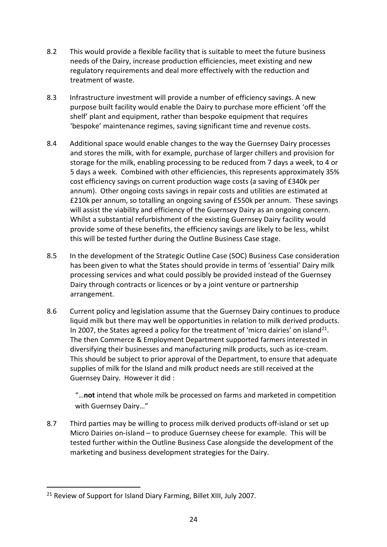- 8.2 This would provide a flexible facility that is suitable to meet the future business needs of the Dairy, increase production efficiencies, meet existing and new regulatory requirements and deal more effectively with the reduction and treatment of waste.
- 8.3 Infrastructure investment will provide a number of efficiency savings. A new purpose built facility would enable the Dairy to purchase more efficient 'off the shelf' plant and equipment, rather than bespoke equipment that requires 'bespoke' maintenance regimes, saving significant time and revenue costs.
- 8.4 Additional space would enable changes to the way the Guernsey Dairy processes and stores the milk, with for example, purchase of larger chillers and provision for storage for the milk, enabling processing to be reduced from 7 days a week, to 4 or 5 days a week. Combined with other efficiencies, this represents approximately 35% cost efficiency savings on current production wage costs (a saving of £340k per annum). Other ongoing costs savings in repair costs and utilities are estimated at £210k per annum, so totalling an ongoing saving of £550k per annum. These savings will assist the viability and efficiency of the Guernsey Dairy as an ongoing concern. Whilst a substantial refurbishment of the existing Guernsey Dairy facility would provide some of these benefits, the efficiency savings are likely to be less, whilst this will be tested further during the Outline Business Case stage.
- 8.5 In the development of the Strategic Outline Case (SOC) Business Case consideration has been given to what the States should provide in terms of 'essential' Dairy milk processing services and what could possibly be provided instead of the Guernsey Dairy through contracts or licences or by a joint venture or partnership arrangement.
- 8.6 Current policy and legislation assume that the Guernsey Dairy continues to produce liquid milk but there may well be opportunities in relation to milk derived products. In 2007, the States agreed a policy for the treatment of 'micro dairies' on island<sup>21</sup>. The then Commerce & Employment Department supported farmers interested in diversifying their businesses and manufacturing milk products, such as ice-cream. This should be subject to prior approval of the Department, to ensure that adequate supplies of milk for the Island and milk product needs are still received at the Guernsey Dairy. However it did :

"…**not** intend that whole milk be processed on farms and marketed in competition with Guernsey Dairy…"

8.7 Third parties may be willing to process milk derived products off-island or set up Micro Dairies on-island – to produce Guernsey cheese for example. This will be tested further within the Outline Business Case alongside the development of the marketing and business development strategies for the Dairy.

<sup>&</sup>lt;sup>21</sup> Review of Support for Island Diary Farming, Billet XIII, July 2007.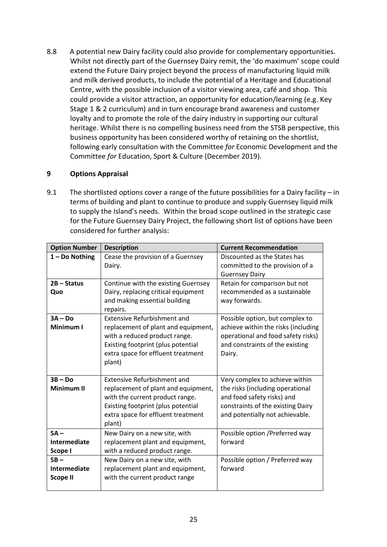8.8 A potential new Dairy facility could also provide for complementary opportunities. Whilst not directly part of the Guernsey Dairy remit, the 'do maximum' scope could extend the Future Dairy project beyond the process of manufacturing liquid milk and milk derived products, to include the potential of a Heritage and Educational Centre, with the possible inclusion of a visitor viewing area, café and shop. This could provide a visitor attraction, an opportunity for education/learning (e.g. Key Stage 1 & 2 curriculum) and in turn encourage brand awareness and customer loyalty and to promote the role of the dairy industry in supporting our cultural heritage. Whilst there is no compelling business need from the STSB perspective, this business opportunity has been considered worthy of retaining on the shortlist, following early consultation with the Committee *for* Economic Development and the Committee *for* Education, Sport & Culture (December 2019).

# **9 Options Appraisal**

9.1 The shortlisted options cover a range of the future possibilities for a Dairy facility – in terms of building and plant to continue to produce and supply Guernsey liquid milk to supply the Island's needs. Within the broad scope outlined in the strategic case for the Future Guernsey Dairy Project, the following short list of options have been considered for further analysis:

| <b>Option Number</b> | <b>Description</b>                                                  | <b>Current Recommendation</b>                                         |  |
|----------------------|---------------------------------------------------------------------|-----------------------------------------------------------------------|--|
| 1 - Do Nothing       | Cease the provision of a Guernsey                                   | Discounted as the States has                                          |  |
|                      | Dairy.                                                              | committed to the provision of a                                       |  |
|                      |                                                                     | <b>Guernsey Dairy</b>                                                 |  |
| $2B - Status$        | Continue with the existing Guernsey                                 | Retain for comparison but not                                         |  |
| Quo                  | Dairy, replacing critical equipment                                 | recommended as a sustainable                                          |  |
|                      | and making essential building<br>repairs.                           | way forwards.                                                         |  |
| $3A - Do$            | <b>Extensive Refurbishment and</b>                                  | Possible option, but complex to                                       |  |
| Minimum I            | replacement of plant and equipment,                                 | achieve within the risks (including                                   |  |
|                      | with a reduced product range.<br>Existing footprint (plus potential | operational and food safety risks)<br>and constraints of the existing |  |
|                      | extra space for effluent treatment                                  | Dairy.                                                                |  |
|                      | plant)                                                              |                                                                       |  |
|                      |                                                                     |                                                                       |  |
| $3B - Do$            | <b>Extensive Refurbishment and</b>                                  | Very complex to achieve within                                        |  |
| <b>Minimum II</b>    | replacement of plant and equipment,                                 | the risks (including operational                                      |  |
|                      | with the current product range.                                     | and food safety risks) and                                            |  |
|                      | Existing footprint (plus potential                                  | constraints of the existing Dairy                                     |  |
|                      | extra space for effluent treatment                                  | and potentially not achievable.                                       |  |
|                      | plant)                                                              |                                                                       |  |
| $5A -$               | New Dairy on a new site, with                                       | Possible option / Preferred way                                       |  |
| Intermediate         | replacement plant and equipment,                                    | forward                                                               |  |
| Scope I              | with a reduced product range.                                       |                                                                       |  |
| $5B -$               | New Dairy on a new site, with                                       | Possible option / Preferred way                                       |  |
| Intermediate         | replacement plant and equipment,                                    | forward                                                               |  |
| <b>Scope II</b>      | with the current product range                                      |                                                                       |  |
|                      |                                                                     |                                                                       |  |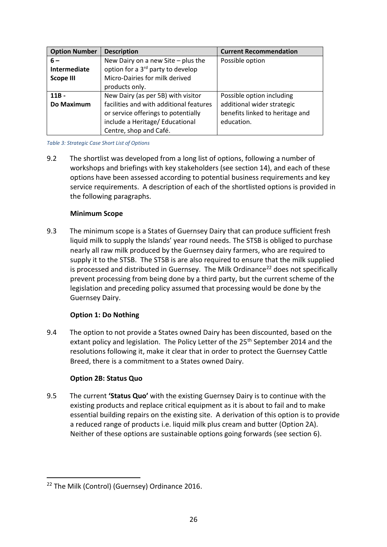| <b>Option Number</b> | <b>Description</b>                            | <b>Current Recommendation</b>   |
|----------------------|-----------------------------------------------|---------------------------------|
| $6-$                 | New Dairy on a new Site $-$ plus the          | Possible option                 |
| Intermediate         | option for a 3 <sup>rd</sup> party to develop |                                 |
| <b>Scope III</b>     | Micro-Dairies for milk derived                |                                 |
|                      | products only.                                |                                 |
| $11B -$              | New Dairy (as per 5B) with visitor            | Possible option including       |
| Do Maximum           | facilities and with additional features       | additional wider strategic      |
|                      | or service offerings to potentially           | benefits linked to heritage and |
|                      | include a Heritage/ Educational               | education.                      |
|                      | Centre, shop and Café.                        |                                 |

#### *Table 3: Strategic Case Short List of Options*

9.2 The shortlist was developed from a long list of options, following a number of workshops and briefings with key stakeholders (see section 14), and each of these options have been assessed according to potential business requirements and key service requirements. A description of each of the shortlisted options is provided in the following paragraphs.

# **Minimum Scope**

9.3 The minimum scope is a States of Guernsey Dairy that can produce sufficient fresh liquid milk to supply the Islands' year round needs. The STSB is obliged to purchase nearly all raw milk produced by the Guernsey dairy farmers, who are required to supply it to the STSB. The STSB is are also required to ensure that the milk supplied is processed and distributed in Guernsey. The Milk Ordinance<sup>22</sup> does not specifically prevent processing from being done by a third party, but the current scheme of the legislation and preceding policy assumed that processing would be done by the Guernsey Dairy.

# **Option 1: Do Nothing**

9.4 The option to not provide a States owned Dairy has been discounted, based on the extant policy and legislation. The Policy Letter of the 25<sup>th</sup> September 2014 and the resolutions following it, make it clear that in order to protect the Guernsey Cattle Breed, there is a commitment to a States owned Dairy.

# **Option 2B: Status Quo**

9.5 The current **'Status Quo'** with the existing Guernsey Dairy is to continue with the existing products and replace critical equipment as it is about to fail and to make essential building repairs on the existing site. A derivation of this option is to provide a reduced range of products i.e. liquid milk plus cream and butter (Option 2A). Neither of these options are sustainable options going forwards (see section 6).

<sup>1</sup> <sup>22</sup> The Milk (Control) (Guernsey) Ordinance 2016.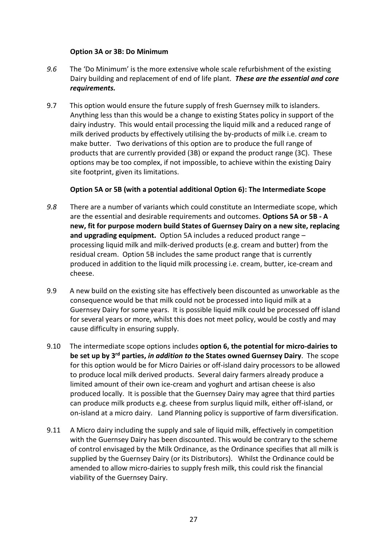### **Option 3A or 3B: Do Minimum**

- *9.6* The 'Do Minimum' is the more extensive whole scale refurbishment of the existing Dairy building and replacement of end of life plant. *These are the essential and core requirements.*
- 9.7 This option would ensure the future supply of fresh Guernsey milk to islanders. Anything less than this would be a change to existing States policy in support of the dairy industry. This would entail processing the liquid milk and a reduced range of milk derived products by effectively utilising the by-products of milk i.e. cream to make butter. Two derivations of this option are to produce the full range of products that are currently provided (3B) or expand the product range (3C). These options may be too complex, if not impossible, to achieve within the existing Dairy site footprint, given its limitations.

# **Option 5A or 5B (with a potential additional Option 6): The Intermediate Scope**

- *9.8* There are a number of variants which could constitute an Intermediate scope, which are the essential and desirable requirements and outcomes. **Options 5A or 5B - A new, fit for purpose modern build States of Guernsey Dairy on a new site, replacing and upgrading equipment.** Option 5A includes a reduced product range – processing liquid milk and milk-derived products (e.g. cream and butter) from the residual cream. Option 5B includes the same product range that is currently produced in addition to the liquid milk processing i.e. cream, butter, ice-cream and cheese.
- 9.9 A new build on the existing site has effectively been discounted as unworkable as the consequence would be that milk could not be processed into liquid milk at a Guernsey Dairy for some years. It is possible liquid milk could be processed off island for several years or more, whilst this does not meet policy, would be costly and may cause difficulty in ensuring supply.
- 9.10 The intermediate scope options includes **option 6, the potential for micro-dairies to be set up by 3 rd parties,** *in addition to* **the States owned Guernsey Dairy**. The scope for this option would be for Micro Dairies or off-island dairy processors to be allowed to produce local milk derived products. Several dairy farmers already produce a limited amount of their own ice-cream and yoghurt and artisan cheese is also produced locally. It is possible that the Guernsey Dairy may agree that third parties can produce milk products e.g. cheese from surplus liquid milk, either off-island, or on-island at a micro dairy. Land Planning policy is supportive of farm diversification.
- 9.11 A Micro dairy including the supply and sale of liquid milk, effectively in competition with the Guernsey Dairy has been discounted. This would be contrary to the scheme of control envisaged by the Milk Ordinance, as the Ordinance specifies that all milk is supplied by the Guernsey Dairy (or its Distributors). Whilst the Ordinance could be amended to allow micro-dairies to supply fresh milk, this could risk the financial viability of the Guernsey Dairy.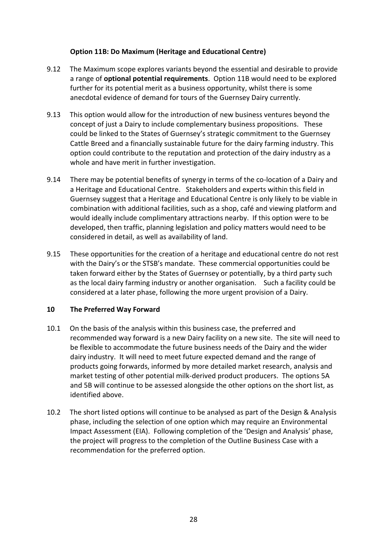# **Option 11B: Do Maximum (Heritage and Educational Centre)**

- 9.12 The Maximum scope explores variants beyond the essential and desirable to provide a range of **optional potential requirements**. Option 11B would need to be explored further for its potential merit as a business opportunity, whilst there is some anecdotal evidence of demand for tours of the Guernsey Dairy currently.
- 9.13 This option would allow for the introduction of new business ventures beyond the concept of just a Dairy to include complementary business propositions. These could be linked to the States of Guernsey's strategic commitment to the Guernsey Cattle Breed and a financially sustainable future for the dairy farming industry. This option could contribute to the reputation and protection of the dairy industry as a whole and have merit in further investigation.
- 9.14 There may be potential benefits of synergy in terms of the co-location of a Dairy and a Heritage and Educational Centre. Stakeholders and experts within this field in Guernsey suggest that a Heritage and Educational Centre is only likely to be viable in combination with additional facilities, such as a shop, café and viewing platform and would ideally include complimentary attractions nearby. If this option were to be developed, then traffic, planning legislation and policy matters would need to be considered in detail, as well as availability of land.
- 9.15 These opportunities for the creation of a heritage and educational centre do not rest with the Dairy's or the STSB's mandate. These commercial opportunities could be taken forward either by the States of Guernsey or potentially, by a third party such as the local dairy farming industry or another organisation. Such a facility could be considered at a later phase, following the more urgent provision of a Dairy.

# **10 The Preferred Way Forward**

- 10.1 On the basis of the analysis within this business case, the preferred and recommended way forward is a new Dairy facility on a new site. The site will need to be flexible to accommodate the future business needs of the Dairy and the wider dairy industry. It will need to meet future expected demand and the range of products going forwards, informed by more detailed market research, analysis and market testing of other potential milk-derived product producers. The options 5A and 5B will continue to be assessed alongside the other options on the short list, as identified above.
- 10.2 The short listed options will continue to be analysed as part of the Design & Analysis phase, including the selection of one option which may require an Environmental Impact Assessment (EIA). Following completion of the 'Design and Analysis' phase, the project will progress to the completion of the Outline Business Case with a recommendation for the preferred option.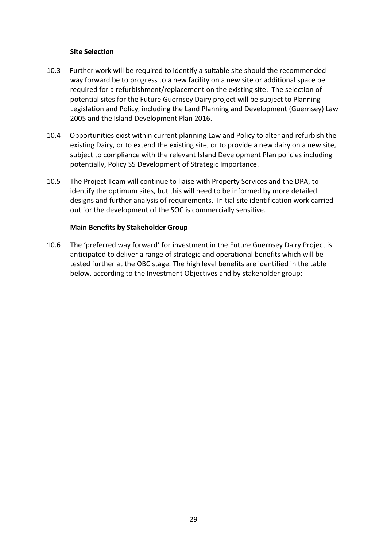### **Site Selection**

- 10.3 Further work will be required to identify a suitable site should the recommended way forward be to progress to a new facility on a new site or additional space be required for a refurbishment/replacement on the existing site. The selection of potential sites for the Future Guernsey Dairy project will be subject to Planning Legislation and Policy, including the Land Planning and Development (Guernsey) Law 2005 and the Island Development Plan 2016.
- 10.4 Opportunities exist within current planning Law and Policy to alter and refurbish the existing Dairy, or to extend the existing site, or to provide a new dairy on a new site, subject to compliance with the relevant Island Development Plan policies including potentially, Policy S5 Development of Strategic Importance.
- 10.5 The Project Team will continue to liaise with Property Services and the DPA, to identify the optimum sites, but this will need to be informed by more detailed designs and further analysis of requirements. Initial site identification work carried out for the development of the SOC is commercially sensitive.

### **Main Benefits by Stakeholder Group**

10.6 The 'preferred way forward' for investment in the Future Guernsey Dairy Project is anticipated to deliver a range of strategic and operational benefits which will be tested further at the OBC stage. The high level benefits are identified in the table below, according to the Investment Objectives and by stakeholder group: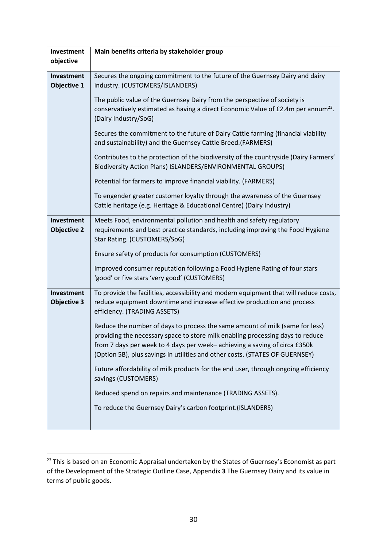| Investment                       | Main benefits criteria by stakeholder group                                                                                                                                                                                                                                                                                 |  |  |
|----------------------------------|-----------------------------------------------------------------------------------------------------------------------------------------------------------------------------------------------------------------------------------------------------------------------------------------------------------------------------|--|--|
| objective                        |                                                                                                                                                                                                                                                                                                                             |  |  |
| Investment<br><b>Objective 1</b> | Secures the ongoing commitment to the future of the Guernsey Dairy and dairy<br>industry. (CUSTOMERS/ISLANDERS)                                                                                                                                                                                                             |  |  |
|                                  | The public value of the Guernsey Dairy from the perspective of society is<br>conservatively estimated as having a direct Economic Value of £2.4m per annum <sup>23</sup> .<br>(Dairy Industry/SoG)                                                                                                                          |  |  |
|                                  | Secures the commitment to the future of Dairy Cattle farming (financial viability<br>and sustainability) and the Guernsey Cattle Breed. (FARMERS)                                                                                                                                                                           |  |  |
|                                  | Contributes to the protection of the biodiversity of the countryside (Dairy Farmers'<br>Biodiversity Action Plans) ISLANDERS/ENVIRONMENTAL GROUPS)                                                                                                                                                                          |  |  |
|                                  | Potential for farmers to improve financial viability. (FARMERS)                                                                                                                                                                                                                                                             |  |  |
|                                  | To engender greater customer loyalty through the awareness of the Guernsey<br>Cattle heritage (e.g. Heritage & Educational Centre) (Dairy Industry)                                                                                                                                                                         |  |  |
| Investment<br><b>Objective 2</b> | Meets Food, environmental pollution and health and safety regulatory<br>requirements and best practice standards, including improving the Food Hygiene<br>Star Rating. (CUSTOMERS/SoG)                                                                                                                                      |  |  |
|                                  | Ensure safety of products for consumption (CUSTOMERS)                                                                                                                                                                                                                                                                       |  |  |
|                                  | Improved consumer reputation following a Food Hygiene Rating of four stars<br>'good' or five stars 'very good' (CUSTOMERS)                                                                                                                                                                                                  |  |  |
| Investment<br><b>Objective 3</b> | To provide the facilities, accessibility and modern equipment that will reduce costs,<br>reduce equipment downtime and increase effective production and process<br>efficiency. (TRADING ASSETS)                                                                                                                            |  |  |
|                                  | Reduce the number of days to process the same amount of milk (same for less)<br>providing the necessary space to store milk enabling processing days to reduce<br>from 7 days per week to 4 days per week-achieving a saving of circa £350k<br>(Option 5B), plus savings in utilities and other costs. (STATES OF GUERNSEY) |  |  |
|                                  | Future affordability of milk products for the end user, through ongoing efficiency<br>savings (CUSTOMERS)                                                                                                                                                                                                                   |  |  |
|                                  | Reduced spend on repairs and maintenance (TRADING ASSETS).                                                                                                                                                                                                                                                                  |  |  |
|                                  | To reduce the Guernsey Dairy's carbon footprint.(ISLANDERS)                                                                                                                                                                                                                                                                 |  |  |
|                                  |                                                                                                                                                                                                                                                                                                                             |  |  |

**.** 

 $23$  This is based on an Economic Appraisal undertaken by the States of Guernsey's Economist as part of the Development of the Strategic Outline Case, Appendix **3** The Guernsey Dairy and its value in terms of public goods.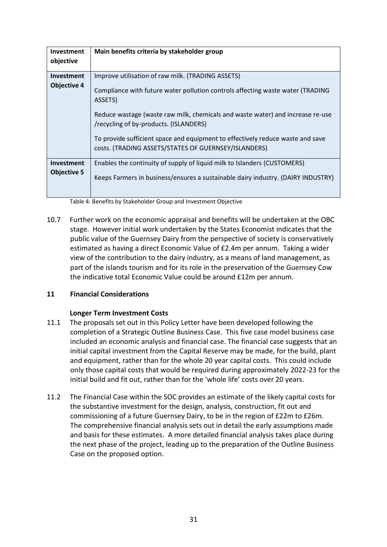| Investment<br>objective                 | Main benefits criteria by stakeholder group                                                                                                                                                                                                                                                                                                                                                                          |
|-----------------------------------------|----------------------------------------------------------------------------------------------------------------------------------------------------------------------------------------------------------------------------------------------------------------------------------------------------------------------------------------------------------------------------------------------------------------------|
| <b>Investment</b><br><b>Objective 4</b> | Improve utilisation of raw milk. (TRADING ASSETS)<br>Compliance with future water pollution controls affecting waste water (TRADING<br>ASSETS)<br>Reduce wastage (waste raw milk, chemicals and waste water) and increase re-use<br>/recycling of by-products. (ISLANDERS)<br>To provide sufficient space and equipment to effectively reduce waste and save<br>costs. (TRADING ASSETS/STATES OF GUERNSEY/ISLANDERS) |
| <b>Investment</b><br><b>Objective 5</b> | Enables the continuity of supply of liquid milk to Islanders (CUSTOMERS)<br>Keeps Farmers in business/ensures a sustainable dairy industry. (DAIRY INDUSTRY)                                                                                                                                                                                                                                                         |

Table 4: Benefits by Stakeholder Group and Investment Objective

10.7 Further work on the economic appraisal and benefits will be undertaken at the OBC stage. However initial work undertaken by the States Economist indicates that the public value of the Guernsey Dairy from the perspective of society is conservatively estimated as having a direct Economic Value of £2.4m per annum. Taking a wider view of the contribution to the dairy industry, as a means of land management, as part of the islands tourism and for its role in the preservation of the Guernsey Cow the indicative total Economic Value could be around £12m per annum.

# **11 Financial Considerations**

# **Longer Term Investment Costs**

- 11.1 The proposals set out in this Policy Letter have been developed following the completion of a Strategic Outline Business Case. This five case model business case included an economic analysis and financial case. The financial case suggests that an initial capital investment from the Capital Reserve may be made, for the build, plant and equipment, rather than for the whole 20 year capital costs. This could include only those capital costs that would be required during approximately 2022-23 for the initial build and fit out, rather than for the 'whole life' costs over 20 years.
- 11.2 The Financial Case within the SOC provides an estimate of the likely capital costs for the substantive investment for the design, analysis, construction, fit out and commissioning of a future Guernsey Dairy, to be in the region of £22m to £26m. The comprehensive financial analysis sets out in detail the early assumptions made and basis for these estimates. A more detailed financial analysis takes place during the next phase of the project, leading up to the preparation of the Outline Business Case on the proposed option.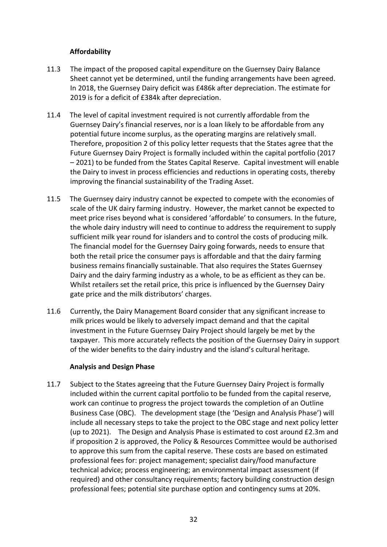# **Affordability**

- 11.3 The impact of the proposed capital expenditure on the Guernsey Dairy Balance Sheet cannot yet be determined, until the funding arrangements have been agreed. In 2018, the Guernsey Dairy deficit was £486k after depreciation. The estimate for 2019 is for a deficit of £384k after depreciation.
- 11.4 The level of capital investment required is not currently affordable from the Guernsey Dairy's financial reserves, nor is a loan likely to be affordable from any potential future income surplus, as the operating margins are relatively small. Therefore, proposition 2 of this policy letter requests that the States agree that the Future Guernsey Dairy Project is formally included within the capital portfolio (2017 – 2021) to be funded from the States Capital Reserve. Capital investment will enable the Dairy to invest in process efficiencies and reductions in operating costs, thereby improving the financial sustainability of the Trading Asset.
- 11.5 The Guernsey dairy industry cannot be expected to compete with the economies of scale of the UK dairy farming industry. However, the market cannot be expected to meet price rises beyond what is considered 'affordable' to consumers. In the future, the whole dairy industry will need to continue to address the requirement to supply sufficient milk year round for islanders and to control the costs of producing milk. The financial model for the Guernsey Dairy going forwards, needs to ensure that both the retail price the consumer pays is affordable and that the dairy farming business remains financially sustainable. That also requires the States Guernsey Dairy and the dairy farming industry as a whole, to be as efficient as they can be. Whilst retailers set the retail price, this price is influenced by the Guernsey Dairy gate price and the milk distributors' charges.
- 11.6 Currently, the Dairy Management Board consider that any significant increase to milk prices would be likely to adversely impact demand and that the capital investment in the Future Guernsey Dairy Project should largely be met by the taxpayer. This more accurately reflects the position of the Guernsey Dairy in support of the wider benefits to the dairy industry and the island's cultural heritage.

### **Analysis and Design Phase**

11.7 Subject to the States agreeing that the Future Guernsey Dairy Project is formally included within the current capital portfolio to be funded from the capital reserve, work can continue to progress the project towards the completion of an Outline Business Case (OBC). The development stage (the 'Design and Analysis Phase') will include all necessary steps to take the project to the OBC stage and next policy letter (up to 2021). The Design and Analysis Phase is estimated to cost around £2.3m and if proposition 2 is approved, the Policy & Resources Committee would be authorised to approve this sum from the capital reserve. These costs are based on estimated professional fees for: project management; specialist dairy/food manufacture technical advice; process engineering; an environmental impact assessment (if required) and other consultancy requirements; factory building construction design professional fees; potential site purchase option and contingency sums at 20%.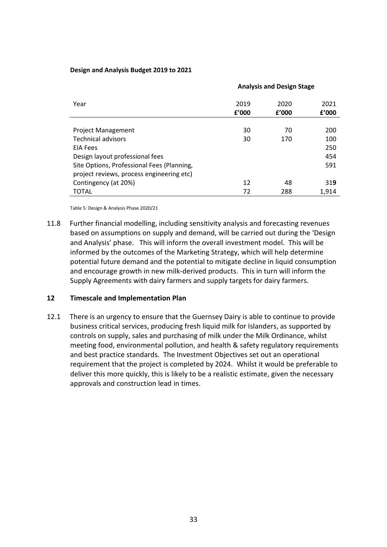#### **Design and Analysis Budget 2019 to 2021**

|                                            | <b>Analysis and Design Stage</b> |               |               |
|--------------------------------------------|----------------------------------|---------------|---------------|
| Year                                       | 2019<br>f'000                    | 2020<br>f'000 | 2021<br>£'000 |
|                                            |                                  |               |               |
| <b>Project Management</b>                  | 30                               | 70            | 200           |
| <b>Technical advisors</b>                  | 30                               | 170           | 100           |
| <b>EIA Fees</b>                            |                                  |               | 250           |
| Design layout professional fees            |                                  |               | 454           |
| Site Options, Professional Fees (Planning, |                                  |               | 591           |
| project reviews, process engineering etc)  |                                  |               |               |
| Contingency (at 20%)                       | 12                               | 48            | 319           |
| <b>TOTAL</b>                               | 72                               | 288           | 1,914         |

Table 5: Design & Analysis Phase 2020/21

11.8 Further financial modelling, including sensitivity analysis and forecasting revenues based on assumptions on supply and demand, will be carried out during the 'Design and Analysis' phase. This will inform the overall investment model. This will be informed by the outcomes of the Marketing Strategy, which will help determine potential future demand and the potential to mitigate decline in liquid consumption and encourage growth in new milk-derived products. This in turn will inform the Supply Agreements with dairy farmers and supply targets for dairy farmers.

### **12 Timescale and Implementation Plan**

12.1 There is an urgency to ensure that the Guernsey Dairy is able to continue to provide business critical services, producing fresh liquid milk for Islanders, as supported by controls on supply, sales and purchasing of milk under the Milk Ordinance, whilst meeting food, environmental pollution, and health & safety regulatory requirements and best practice standards. The Investment Objectives set out an operational requirement that the project is completed by 2024. Whilst it would be preferable to deliver this more quickly, this is likely to be a realistic estimate, given the necessary approvals and construction lead in times.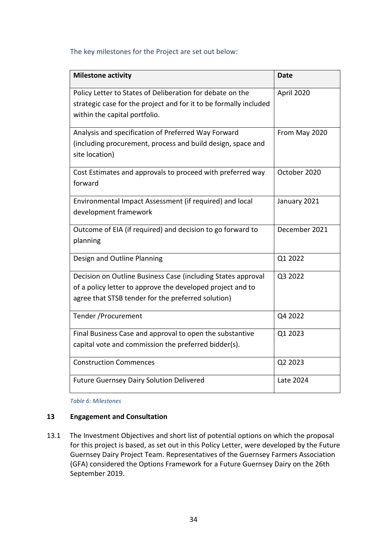### The key milestones for the Project are set out below:

| <b>Milestone activity</b>                                         | <b>Date</b>   |
|-------------------------------------------------------------------|---------------|
| Policy Letter to States of Deliberation for debate on the         | April 2020    |
| strategic case for the project and for it to be formally included |               |
| within the capital portfolio.                                     |               |
| Analysis and specification of Preferred Way Forward               | From May 2020 |
| (including procurement, process and build design, space and       |               |
| site location)                                                    |               |
| Cost Estimates and approvals to proceed with preferred way        | October 2020  |
| forward                                                           |               |
| Environmental Impact Assessment (if required) and local           | January 2021  |
| development framework                                             |               |
| Outcome of EIA (if required) and decision to go forward to        | December 2021 |
| planning                                                          |               |
| Design and Outline Planning                                       | Q1 2022       |
| Decision on Outline Business Case (including States approval      | Q3 2022       |
| of a policy letter to approve the developed project and to        |               |
| agree that STSB tender for the preferred solution)                |               |
| Tender / Procurement                                              | Q4 2022       |
| Final Business Case and approval to open the substantive          | Q1 2023       |
| capital vote and commission the preferred bidder(s).              |               |
| <b>Construction Commences</b>                                     | Q2 2023       |
| <b>Future Guernsey Dairy Solution Delivered</b>                   | Late 2024     |

*Table 6: Milestones*

### **13 Engagement and Consultation**

13.1 The Investment Objectives and short list of potential options on which the proposal for this project is based, as set out in this Policy Letter, were developed by the Future Guernsey Dairy Project Team. Representatives of the Guernsey Farmers Association (GFA) considered the Options Framework for a Future Guernsey Dairy on the 26th September 2019.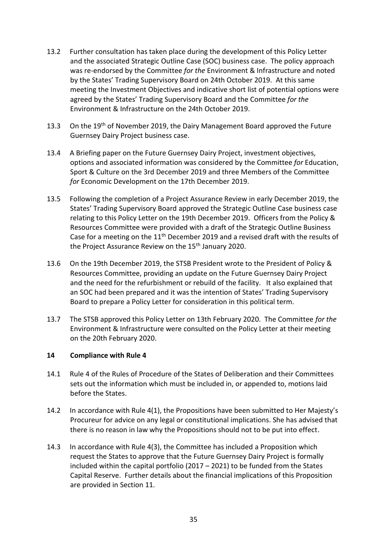- 13.2 Further consultation has taken place during the development of this Policy Letter and the associated Strategic Outline Case (SOC) business case. The policy approach was re-endorsed by the Committee *for the* Environment & Infrastructure and noted by the States' Trading Supervisory Board on 24th October 2019. At this same meeting the Investment Objectives and indicative short list of potential options were agreed by the States' Trading Supervisory Board and the Committee *for the* Environment & Infrastructure on the 24th October 2019.
- 13.3 On the 19<sup>th</sup> of November 2019, the Dairy Management Board approved the Future Guernsey Dairy Project business case.
- 13.4 A Briefing paper on the Future Guernsey Dairy Project, investment objectives, options and associated information was considered by the Committee *for* Education, Sport & Culture on the 3rd December 2019 and three Members of the Committee *for* Economic Development on the 17th December 2019.
- 13.5 Following the completion of a Project Assurance Review in early December 2019, the States' Trading Supervisory Board approved the Strategic Outline Case business case relating to this Policy Letter on the 19th December 2019. Officers from the Policy & Resources Committee were provided with a draft of the Strategic Outline Business Case for a meeting on the  $11<sup>th</sup>$  December 2019 and a revised draft with the results of the Project Assurance Review on the 15<sup>th</sup> January 2020.
- 13.6 On the 19th December 2019, the STSB President wrote to the President of Policy & Resources Committee, providing an update on the Future Guernsey Dairy Project and the need for the refurbishment or rebuild of the facility. It also explained that an SOC had been prepared and it was the intention of States' Trading Supervisory Board to prepare a Policy Letter for consideration in this political term.
- 13.7 The STSB approved this Policy Letter on 13th February 2020. The Committee *for the* Environment & Infrastructure were consulted on the Policy Letter at their meeting on the 20th February 2020.

### **14 Compliance with Rule 4**

- 14.1 Rule 4 of the Rules of Procedure of the States of Deliberation and their Committees sets out the information which must be included in, or appended to, motions laid before the States.
- 14.2 In accordance with Rule 4(1), the Propositions have been submitted to Her Majesty's Procureur for advice on any legal or constitutional implications. She has advised that there is no reason in law why the Propositions should not to be put into effect.
- 14.3 In accordance with Rule 4(3), the Committee has included a Proposition which request the States to approve that the Future Guernsey Dairy Project is formally included within the capital portfolio (2017 – 2021) to be funded from the States Capital Reserve. Further details about the financial implications of this Proposition are provided in Section 11.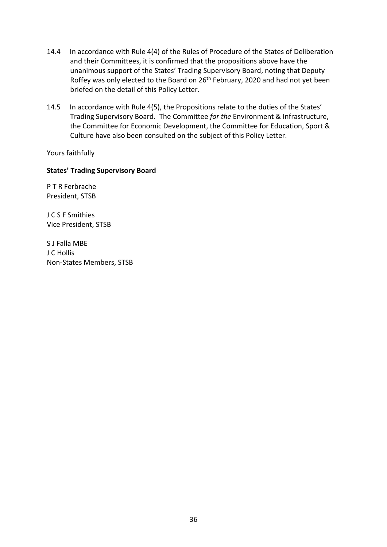- 14.4 In accordance with Rule 4(4) of the Rules of Procedure of the States of Deliberation and their Committees, it is confirmed that the propositions above have the unanimous support of the States' Trading Supervisory Board, noting that Deputy Roffey was only elected to the Board on 26<sup>th</sup> February, 2020 and had not yet been briefed on the detail of this Policy Letter.
- 14.5 In accordance with Rule 4(5), the Propositions relate to the duties of the States' Trading Supervisory Board. The Committee *for the* Environment & Infrastructure, the Committee for Economic Development, the Committee for Education, Sport & Culture have also been consulted on the subject of this Policy Letter.

Yours faithfully

### **States' Trading Supervisory Board**

P T R Ferbrache President, STSB

J C S F Smithies Vice President, STSB

S J Falla MBE J C Hollis Non-States Members, STSB